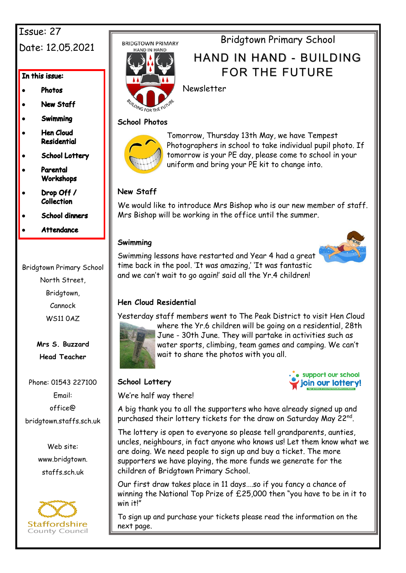# Issue: 27 Date: 12.05.2021

In this issue:

- **Photos**
- **New Staff**
- Swimming
- **Hen Cloud** Residential
- **School Lottery**
- Parental Workshops
- Drop Off / **Collection**
- **School dinners**
- **Attendance**

Bridgtown Primary School North Street, Bridgtown, Cannock WS11 0AZ

> **Mrs S. Buzzard Head Teacher**

Phone: 01543 227100 Email: office@ bridgtown.staffs.sch.uk

> Web site: www.bridgtown. staffs.sch.uk



**BRIDGTOWN PRIMARY** 



Bridgtown Primary School

# HAND IN HAND - BUILDING FOR THE FUTURE

Newsletter

### **School Photos**



Tomorrow, Thursday 13th May, we have Tempest Photographers in school to take individual pupil photo. If tomorrow is your PE day, please come to school in your uniform and bring your PE kit to change into.

### **New Staff**

We would like to introduce Mrs Bishop who is our new member of staff. Mrs Bishop will be working in the office until the summer.

### **Swimming**

Swimming lessons have restarted and Year 4 had a great time back in the pool. 'It was amazing,' 'It was fantastic and we can't wait to go again!' said all the Yr.4 children!



### **Hen Cloud Residential**

Yesterday staff members went to The Peak District to visit Hen Cloud



where the Yr.6 children will be going on a residential, 28th June - 30th June. They will partake in activities such as water sports, climbing, team games and camping. We can't wait to share the photos with you all.

### **School Lottery**



We're half way there!

A big thank you to all the supporters who have already signed up and purchased their lottery tickets for the draw on Saturday May 22nd.

The lottery is open to everyone so please tell grandparents, aunties, uncles, neighbours, in fact anyone who knows us! Let them know what we are doing. We need people to sign up and buy a ticket. The more supporters we have playing, the more funds we generate for the children of Bridgtown Primary School.

Our first draw takes place in 11 days….so if you fancy a chance of winning the National Top Prize of £25,000 then "you have to be in it to win it<sup>l"</sup>

To sign up and purchase your tickets please read the information on the next page.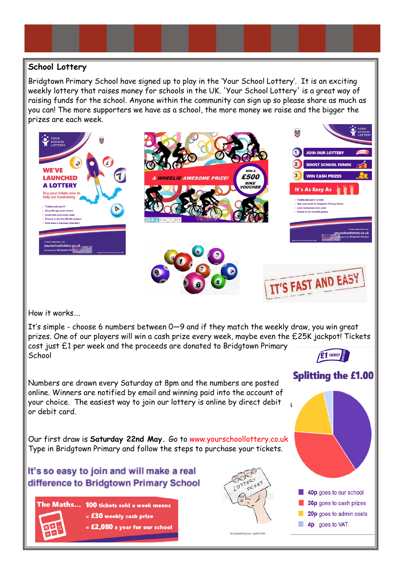### **School Lottery**

Bridgtown Primary School have signed up to play in the 'Your School Lottery'. It is an exciting weekly lottery that raises money for schools in the UK. 'Your School Lottery' is a great way of raising funds for the school. Anyone within the community can sign up so please share as much as you can! The more supporters we have as a school, the more money we raise and the bigger the prizes are each week.



How it works….

It's simple - choose 6 numbers between 0—9 and if they match the weekly draw, you win great prizes. One of our players will win a cash prize every week, maybe even the £25K jackpot! Tickets cost just £1 per week and the proceeds are donated to Bridgtown Primary E1 TICKET **School** 

Numbers are drawn every Saturday at 8pm and the numbers are posted online. Winners are notified by email and winning paid into the account of your choice. The easiest way to join our lottery is online by direct debit or debit card.

Our first draw is **Saturday 22nd May.** Go to www.yourschoollottery.co.uk Type in Bridgtown Primary and follow the steps to purchase your tickets.

## It's so easy to join and will make a real difference to Bridgtown Primary School

The Maths... 100 tickets sold a week means  $=$  £30 weekly cash prize  $=$  £2,080 a year for our school





**Splitting the £1.00** 

40p goes to our school 36p goes to cash prizes

4p goes to VAT

20p goes to admin costs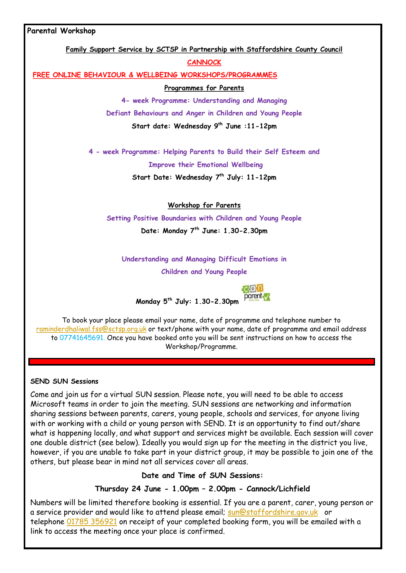#### **Parental Workshop**

**Family Support Service by SCTSP in Partnership with Staffordshire County Council**

**CANNOCK**

**FREE ONLINE BEHAVIOUR & WELLBEING WORKSHOPS/PROGRAMMES**

**Programmes for Parents**

**4- week Programme: Understanding and Managing** 

**Defiant Behaviours and Anger in Children and Young People**

**Start date: Wednesday 9th June :11-12pm**

**4 - week Programme: Helping Parents to Build their Self Esteem and Improve their Emotional Wellbeing**

**Start Date: Wednesday 7th July: 11-12pm**

**Workshop for Parents**

**Setting Positive Boundaries with Children and Young People Date: Monday 7th June: 1.30-2.30pm**

**Understanding and Managing Difficult Emotions in**

**Children and Young People**



**Monday 5th July: 1.30-2.30pm**

To book your place please email your name, date of programme and telephone number to [raminderdhaliwal.fss@sctsp.org.uk](mailto:raminderdhaliwal.fss@sctsp.org.uk) or text/phone with your name, date of programme and email address to 07741645691. Once you have booked onto you will be sent instructions on how to access the Workshop/Programme.

#### **SEND SUN Sessions**

Come and join us for a virtual SUN session. Please note, you will need to be able to access Microsoft teams in order to join the meeting. SUN sessions are networking and information sharing sessions between parents, carers, young people, schools and services, for anyone living with or working with a child or young person with SEND. It is an opportunity to find out/share what is happening locally, and what support and services might be available. Each session will cover one double district (see below). Ideally you would sign up for the meeting in the district you live, however, if you are unable to take part in your district group, it may be possible to join one of the others, but please bear in mind not all services cover all areas.

#### **Date and Time of SUN Sessions:**

### **Thursday 24 June - 1.00pm – 2.00pm - Cannock/Lichfield**

Numbers will be limited therefore booking is essential. If you are a parent, carer, young person or a service provider and would like to attend please email; [sun@staffordshire.gov.uk](mailto:sun@staffordshire.gov.uk)or telephone [01785 356921](tel:01785356921) on receipt of your completed booking form, you will be emailed with a link to access the meeting once your place is confirmed.